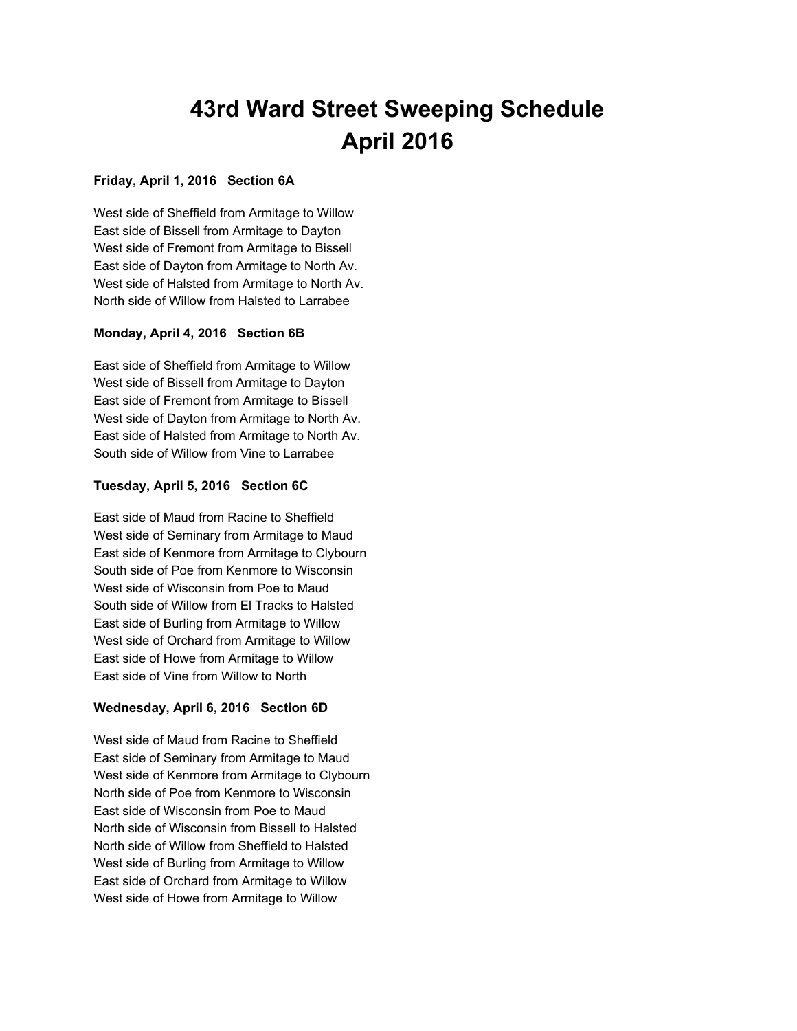# **43rd Ward Street Sweeping Schedule April 2016**

## **Friday, April 1, 2016 Section 6A**

West side of Sheffield from Armitage to Willow East side of Bissell from Armitage to Dayton West side of Fremont from Armitage to Bissell East side of Dayton from Armitage to North Av. West side of Halsted from Armitage to North Av. North side of Willow from Halsted to Larrabee

## **Monday, April 4, 2016 Section 6B**

East side of Sheffield from Armitage to Willow West side of Bissell from Armitage to Dayton East side of Fremont from Armitage to Bissell West side of Dayton from Armitage to North Av. East side of Halsted from Armitage to North Av. South side of Willow from Vine to Larrabee

## **Tuesday, April 5, 2016 Section 6C**

East side of Maud from Racine to Sheffield West side of Seminary from Armitage to Maud East side of Kenmore from Armitage to Clybourn South side of Poe from Kenmore to Wisconsin West side of Wisconsin from Poe to Maud South side of Willow from El Tracks to Halsted East side of Burling from Armitage to Willow West side of Orchard from Armitage to Willow East side of Howe from Armitage to Willow East side of Vine from Willow to North

## **Wednesday, April 6, 2016 Section 6D**

West side of Maud from Racine to Sheffield East side of Seminary from Armitage to Maud West side of Kenmore from Armitage to Clybourn North side of Poe from Kenmore to Wisconsin East side of Wisconsin from Poe to Maud North side of Wisconsin from Bissell to Halsted North side of Willow from Sheffield to Halsted West side of Burling from Armitage to Willow East side of Orchard from Armitage to Willow West side of Howe from Armitage to Willow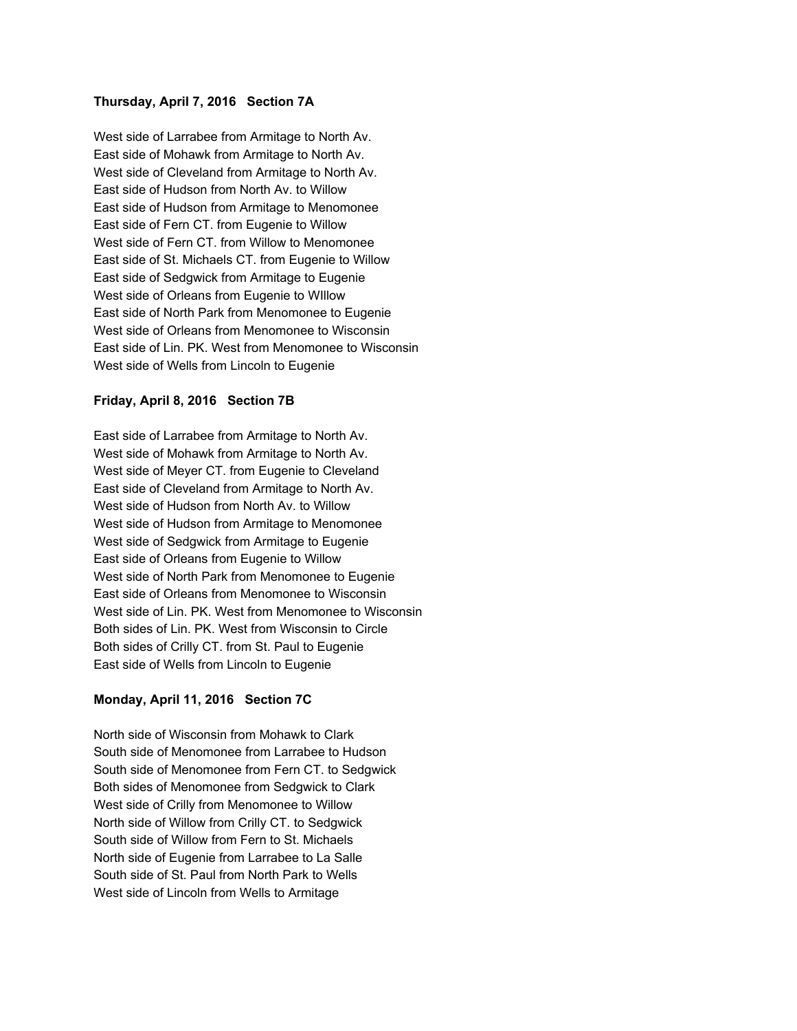#### **Thursday, April 7, 2016 Section 7A**

West side of Larrabee from Armitage to North Av. East side of Mohawk from Armitage to North Av. West side of Cleveland from Armitage to North Av. East side of Hudson from North Av. to Willow East side of Hudson from Armitage to Menomonee East side of Fern CT. from Eugenie to Willow West side of Fern CT. from Willow to Menomonee East side of St. Michaels CT. from Eugenie to Willow East side of Sedgwick from Armitage to Eugenie West side of Orleans from Eugenie to WIllow East side of North Park from Menomonee to Eugenie West side of Orleans from Menomonee to Wisconsin East side of Lin. PK. West from Menomonee to Wisconsin West side of Wells from Lincoln to Eugenie

### **Friday, April 8, 2016 Section 7B**

East side of Larrabee from Armitage to North Av. West side of Mohawk from Armitage to North Av. West side of Meyer CT. from Eugenie to Cleveland East side of Cleveland from Armitage to North Av. West side of Hudson from North Av. to Willow West side of Hudson from Armitage to Menomonee West side of Sedgwick from Armitage to Eugenie East side of Orleans from Eugenie to Willow West side of North Park from Menomonee to Eugenie East side of Orleans from Menomonee to Wisconsin West side of Lin. PK. West from Menomonee to Wisconsin Both sides of Lin. PK. West from Wisconsin to Circle Both sides of Crilly CT. from St. Paul to Eugenie East side of Wells from Lincoln to Eugenie

### **Monday, April 11, 2016 Section 7C**

North side of Wisconsin from Mohawk to Clark South side of Menomonee from Larrabee to Hudson South side of Menomonee from Fern CT. to Sedgwick Both sides of Menomonee from Sedgwick to Clark West side of Crilly from Menomonee to Willow North side of Willow from Crilly CT. to Sedgwick South side of Willow from Fern to St. Michaels North side of Eugenie from Larrabee to La Salle South side of St. Paul from North Park to Wells West side of Lincoln from Wells to Armitage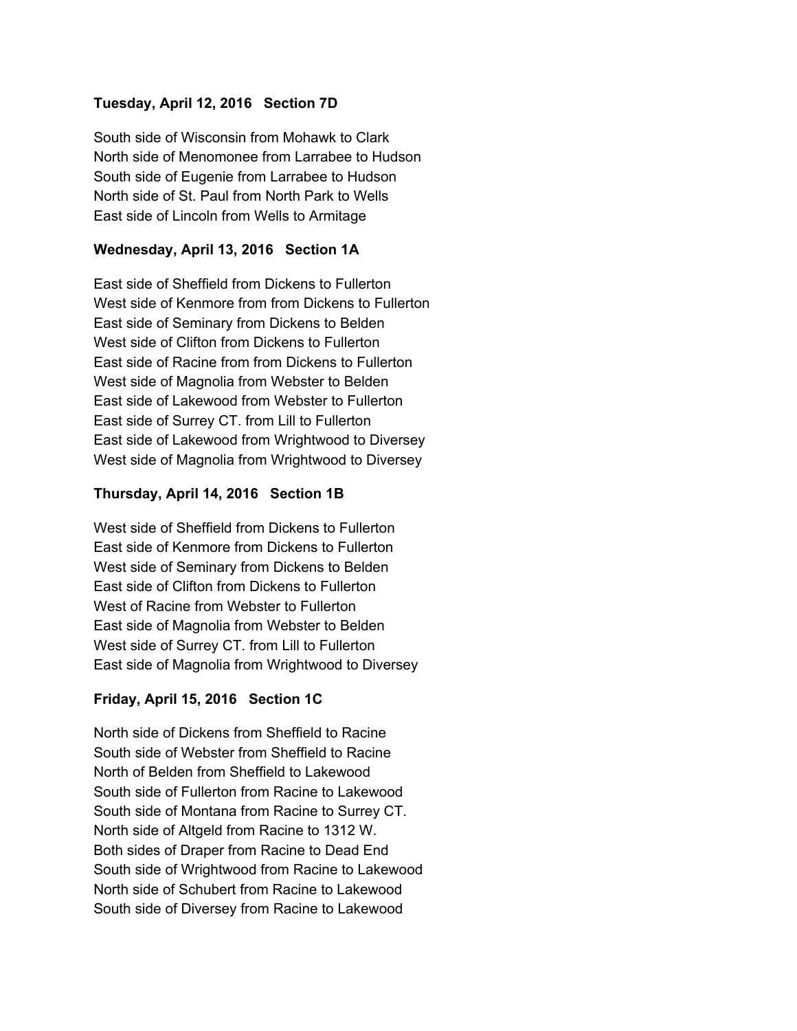# **Tuesday, April 12, 2016 Section 7D**

South side of Wisconsin from Mohawk to Clark North side of Menomonee from Larrabee to Hudson South side of Eugenie from Larrabee to Hudson North side of St. Paul from North Park to Wells East side of Lincoln from Wells to Armitage

# **Wednesday, April 13, 2016 Section 1A**

East side of Sheffield from Dickens to Fullerton West side of Kenmore from from Dickens to Fullerton East side of Seminary from Dickens to Belden West side of Clifton from Dickens to Fullerton East side of Racine from from Dickens to Fullerton West side of Magnolia from Webster to Belden East side of Lakewood from Webster to Fullerton East side of Surrey CT. from Lill to Fullerton East side of Lakewood from Wrightwood to Diversey West side of Magnolia from Wrightwood to Diversey

## **Thursday, April 14, 2016 Section 1B**

West side of Sheffield from Dickens to Fullerton East side of Kenmore from Dickens to Fullerton West side of Seminary from Dickens to Belden East side of Clifton from Dickens to Fullerton West of Racine from Webster to Fullerton East side of Magnolia from Webster to Belden West side of Surrey CT. from Lill to Fullerton East side of Magnolia from Wrightwood to Diversey

# **Friday, April 15, 2016 Section 1C**

North side of Dickens from Sheffield to Racine South side of Webster from Sheffield to Racine North of Belden from Sheffield to Lakewood South side of Fullerton from Racine to Lakewood South side of Montana from Racine to Surrey CT. North side of Altgeld from Racine to 1312 W. Both sides of Draper from Racine to Dead End South side of Wrightwood from Racine to Lakewood North side of Schubert from Racine to Lakewood South side of Diversey from Racine to Lakewood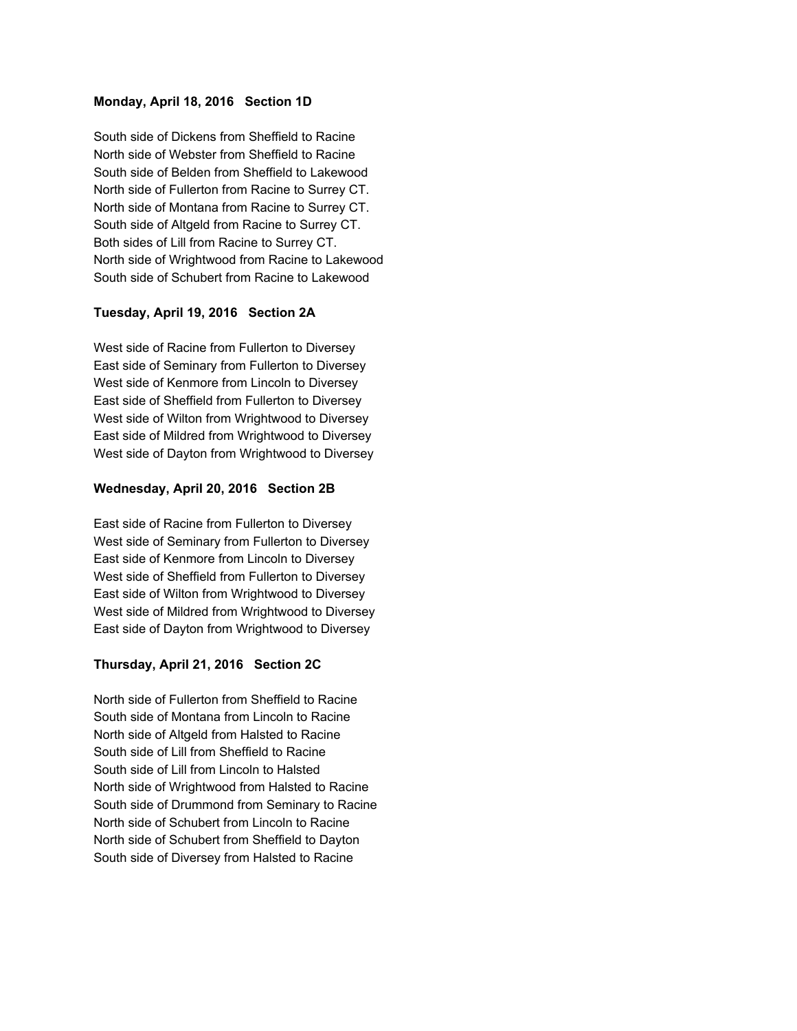#### **Monday, April 18, 2016 Section 1D**

South side of Dickens from Sheffield to Racine North side of Webster from Sheffield to Racine South side of Belden from Sheffield to Lakewood North side of Fullerton from Racine to Surrey CT. North side of Montana from Racine to Surrey CT. South side of Altgeld from Racine to Surrey CT. Both sides of Lill from Racine to Surrey CT. North side of Wrightwood from Racine to Lakewood South side of Schubert from Racine to Lakewood

#### **Tuesday, April 19, 2016 Section 2A**

West side of Racine from Fullerton to Diversey East side of Seminary from Fullerton to Diversey West side of Kenmore from Lincoln to Diversey East side of Sheffield from Fullerton to Diversey West side of Wilton from Wrightwood to Diversey East side of Mildred from Wrightwood to Diversey West side of Dayton from Wrightwood to Diversey

#### **Wednesday, April 20, 2016 Section 2B**

East side of Racine from Fullerton to Diversey West side of Seminary from Fullerton to Diversey East side of Kenmore from Lincoln to Diversey West side of Sheffield from Fullerton to Diversey East side of Wilton from Wrightwood to Diversey West side of Mildred from Wrightwood to Diversey East side of Dayton from Wrightwood to Diversey

#### **Thursday, April 21, 2016 Section 2C**

North side of Fullerton from Sheffield to Racine South side of Montana from Lincoln to Racine North side of Altgeld from Halsted to Racine South side of Lill from Sheffield to Racine South side of Lill from Lincoln to Halsted North side of Wrightwood from Halsted to Racine South side of Drummond from Seminary to Racine North side of Schubert from Lincoln to Racine North side of Schubert from Sheffield to Dayton South side of Diversey from Halsted to Racine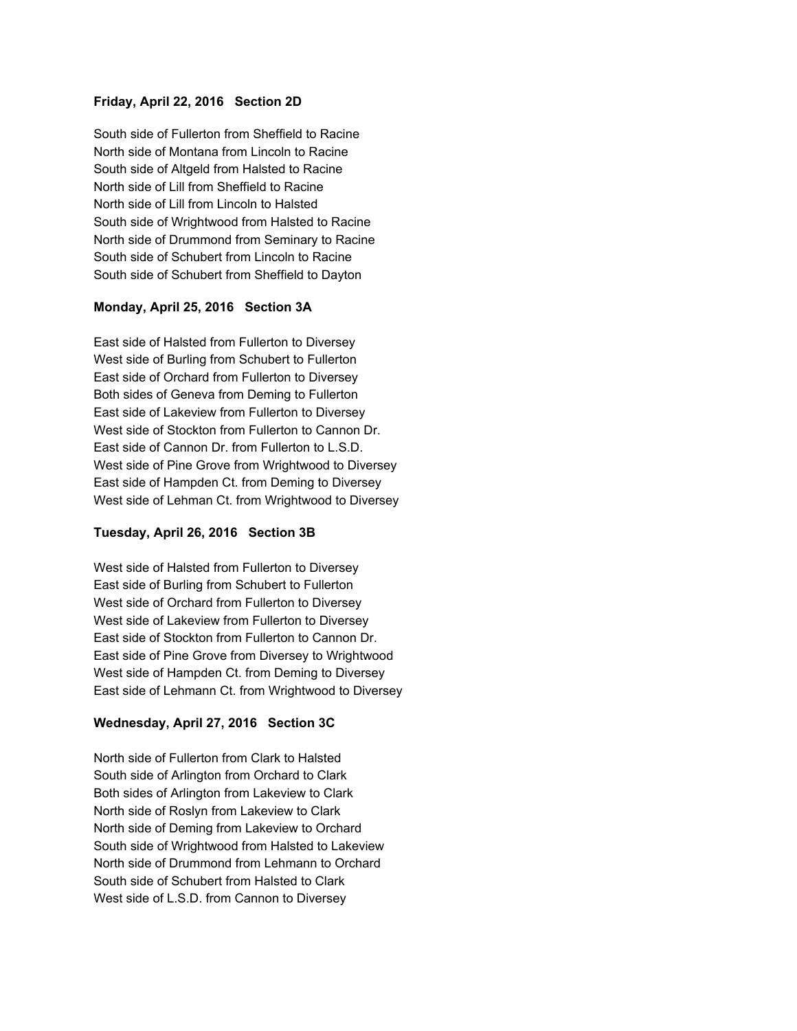## **Friday, April 22, 2016 Section 2D**

South side of Fullerton from Sheffield to Racine North side of Montana from Lincoln to Racine South side of Altgeld from Halsted to Racine North side of Lill from Sheffield to Racine North side of Lill from Lincoln to Halsted South side of Wrightwood from Halsted to Racine North side of Drummond from Seminary to Racine South side of Schubert from Lincoln to Racine South side of Schubert from Sheffield to Dayton

### **Monday, April 25, 2016 Section 3A**

East side of Halsted from Fullerton to Diversey West side of Burling from Schubert to Fullerton East side of Orchard from Fullerton to Diversey Both sides of Geneva from Deming to Fullerton East side of Lakeview from Fullerton to Diversey West side of Stockton from Fullerton to Cannon Dr. East side of Cannon Dr. from Fullerton to L.S.D. West side of Pine Grove from Wrightwood to Diversey East side of Hampden Ct. from Deming to Diversey West side of Lehman Ct. from Wrightwood to Diversey

### **Tuesday, April 26, 2016 Section 3B**

West side of Halsted from Fullerton to Diversey East side of Burling from Schubert to Fullerton West side of Orchard from Fullerton to Diversey West side of Lakeview from Fullerton to Diversey East side of Stockton from Fullerton to Cannon Dr. East side of Pine Grove from Diversey to Wrightwood West side of Hampden Ct. from Deming to Diversey East side of Lehmann Ct. from Wrightwood to Diversey

## **Wednesday, April 27, 2016 Section 3C**

North side of Fullerton from Clark to Halsted South side of Arlington from Orchard to Clark Both sides of Arlington from Lakeview to Clark North side of Roslyn from Lakeview to Clark North side of Deming from Lakeview to Orchard South side of Wrightwood from Halsted to Lakeview North side of Drummond from Lehmann to Orchard South side of Schubert from Halsted to Clark West side of L.S.D. from Cannon to Diversey